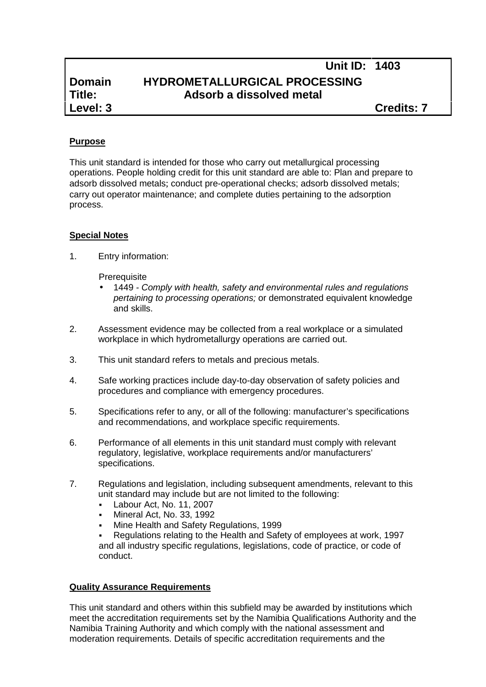# **Unit ID: 1403 Domain HYDROMETALLURGICAL PROCESSING Title: Adsorb a dissolved metal**

**Level: 3 Credits: 7**

## **Purpose**

This unit standard is intended for those who carry out metallurgical processing operations. People holding credit for this unit standard are able to: Plan and prepare to adsorb dissolved metals; conduct pre-operational checks; adsorb dissolved metals; carry out operator maintenance; and complete duties pertaining to the adsorption process.

## **Special Notes**

1. Entry information:

**Prerequisite** 

- 1449 *- Comply with health, safety and environmental rules and regulations pertaining to processing operations;* or demonstrated equivalent knowledge and skills.
- 2. Assessment evidence may be collected from a real workplace or a simulated workplace in which hydrometallurgy operations are carried out.
- 3. This unit standard refers to metals and precious metals.
- 4. Safe working practices include day-to-day observation of safety policies and procedures and compliance with emergency procedures.
- 5. Specifications refer to any, or all of the following: manufacturer's specifications and recommendations, and workplace specific requirements.
- 6. Performance of all elements in this unit standard must comply with relevant regulatory, legislative, workplace requirements and/or manufacturers' specifications.
- 7. Regulations and legislation, including subsequent amendments, relevant to this unit standard may include but are not limited to the following:
	- Labour Act, No. 11, 2007
	- Mineral Act, No. 33, 1992
	- Mine Health and Safety Regulations, 1999
	- Regulations relating to the Health and Safety of employees at work, 1997 and all industry specific regulations, legislations, code of practice, or code of conduct.

## **Quality Assurance Requirements**

This unit standard and others within this subfield may be awarded by institutions which meet the accreditation requirements set by the Namibia Qualifications Authority and the Namibia Training Authority and which comply with the national assessment and moderation requirements. Details of specific accreditation requirements and the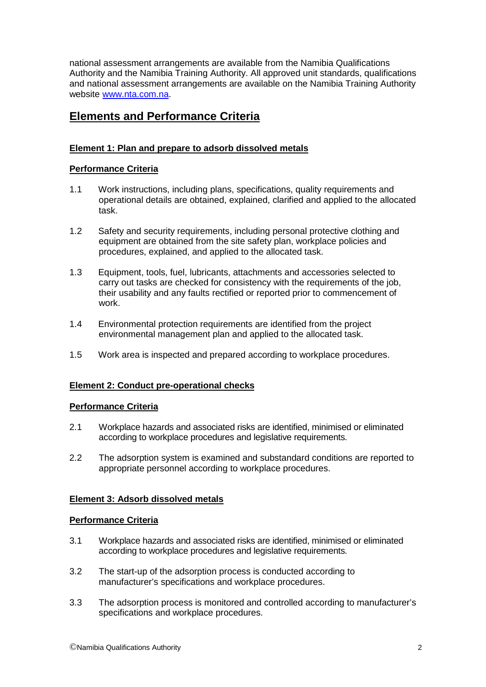national assessment arrangements are available from the Namibia Qualifications Authority and the Namibia Training Authority. All approved unit standards, qualifications and national assessment arrangements are available on the Namibia Training Authority website www.nta.com.na.

## **Elements and Performance Criteria**

## **Element 1: Plan and prepare to adsorb dissolved metals**

#### **Performance Criteria**

- 1.1 Work instructions, including plans, specifications, quality requirements and operational details are obtained, explained, clarified and applied to the allocated task.
- 1.2 Safety and security requirements, including personal protective clothing and equipment are obtained from the site safety plan, workplace policies and procedures, explained, and applied to the allocated task.
- 1.3 Equipment, tools, fuel, lubricants, attachments and accessories selected to carry out tasks are checked for consistency with the requirements of the job, their usability and any faults rectified or reported prior to commencement of work.
- 1.4 Environmental protection requirements are identified from the project environmental management plan and applied to the allocated task.
- 1.5 Work area is inspected and prepared according to workplace procedures.

#### **Element 2: Conduct pre-operational checks**

#### **Performance Criteria**

- 2.1 Workplace hazards and associated risks are identified, minimised or eliminated according to workplace procedures and legislative requirements.
- 2.2 The adsorption system is examined and substandard conditions are reported to appropriate personnel according to workplace procedures.

#### **Element 3: Adsorb dissolved metals**

#### **Performance Criteria**

- 3.1 Workplace hazards and associated risks are identified, minimised or eliminated according to workplace procedures and legislative requirements.
- 3.2 The start-up of the adsorption process is conducted according to manufacturer's specifications and workplace procedures.
- 3.3 The adsorption process is monitored and controlled according to manufacturer's specifications and workplace procedures.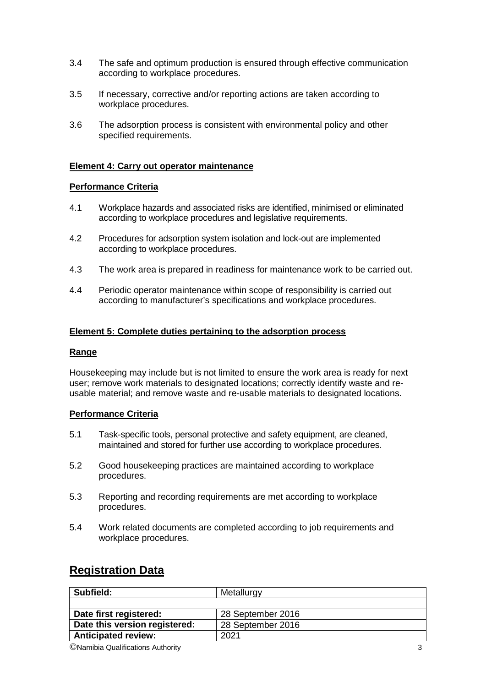- 3.4 The safe and optimum production is ensured through effective communication according to workplace procedures.
- 3.5 If necessary, corrective and/or reporting actions are taken according to workplace procedures.
- 3.6 The adsorption process is consistent with environmental policy and other specified requirements.

#### **Element 4: Carry out operator maintenance**

#### **Performance Criteria**

- 4.1 Workplace hazards and associated risks are identified, minimised or eliminated according to workplace procedures and legislative requirements.
- 4.2 Procedures for adsorption system isolation and lock-out are implemented according to workplace procedures.
- 4.3 The work area is prepared in readiness for maintenance work to be carried out.
- 4.4 Periodic operator maintenance within scope of responsibility is carried out according to manufacturer's specifications and workplace procedures.

#### **Element 5: Complete duties pertaining to the adsorption process**

#### **Range**

Housekeeping may include but is not limited to ensure the work area is ready for next user; remove work materials to designated locations; correctly identify waste and re usable material; and remove waste and re-usable materials to designated locations.

#### **Performance Criteria**

- 5.1 Task-specific tools, personal protective and safety equipment, are cleaned, maintained and stored for further use according to workplace procedures.
- 5.2 Good housekeeping practices are maintained according to workplace procedures.
- 5.3 Reporting and recording requirements are met according to workplace procedures.
- 5.4 Work related documents are completed according to job requirements and workplace procedures.

## **Registration Data**

| Subfield:                     | Metallurgy        |
|-------------------------------|-------------------|
|                               |                   |
| Date first registered:        | 28 September 2016 |
| Date this version registered: | 28 September 2016 |
| <b>Anticipated review:</b>    | 2021              |